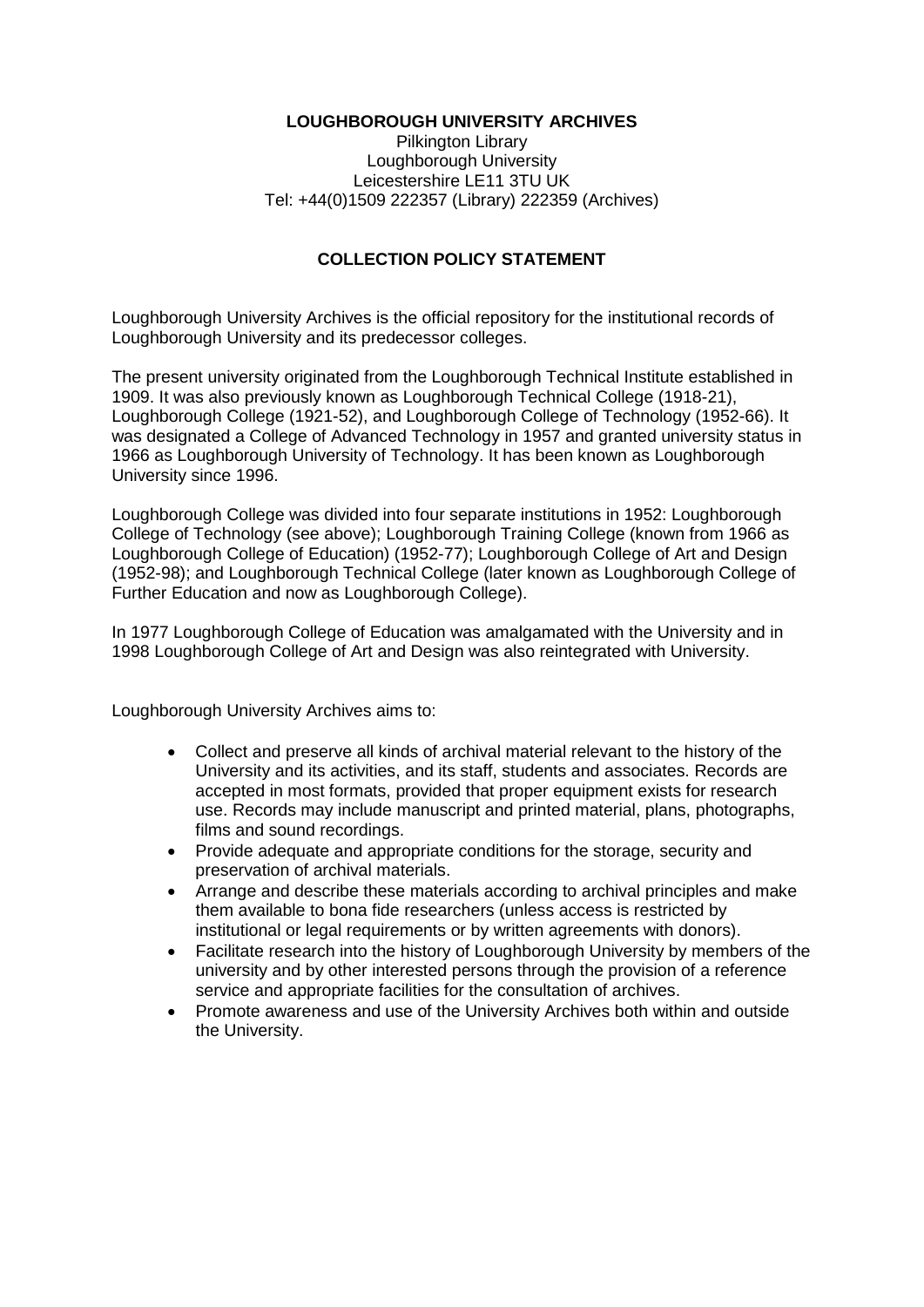## **LOUGHBOROUGH UNIVERSITY ARCHIVES**

Pilkington Library Loughborough University Leicestershire LE11 3TU UK Tel: +44(0)1509 222357 (Library) 222359 (Archives)

## **COLLECTION POLICY STATEMENT**

Loughborough University Archives is the official repository for the institutional records of Loughborough University and its predecessor colleges.

The present university originated from the Loughborough Technical Institute established in 1909. It was also previously known as Loughborough Technical College (1918-21), Loughborough College (1921-52), and Loughborough College of Technology (1952-66). It was designated a College of Advanced Technology in 1957 and granted university status in 1966 as Loughborough University of Technology. It has been known as Loughborough University since 1996.

Loughborough College was divided into four separate institutions in 1952: Loughborough College of Technology (see above); Loughborough Training College (known from 1966 as Loughborough College of Education) (1952-77); Loughborough College of Art and Design (1952-98); and Loughborough Technical College (later known as Loughborough College of Further Education and now as Loughborough College).

In 1977 Loughborough College of Education was amalgamated with the University and in 1998 Loughborough College of Art and Design was also reintegrated with University.

Loughborough University Archives aims to:

- Collect and preserve all kinds of archival material relevant to the history of the University and its activities, and its staff, students and associates. Records are accepted in most formats, provided that proper equipment exists for research use. Records may include manuscript and printed material, plans, photographs, films and sound recordings.
- Provide adequate and appropriate conditions for the storage, security and preservation of archival materials.
- Arrange and describe these materials according to archival principles and make them available to bona fide researchers (unless access is restricted by institutional or legal requirements or by written agreements with donors).
- Facilitate research into the history of Loughborough University by members of the university and by other interested persons through the provision of a reference service and appropriate facilities for the consultation of archives.
- Promote awareness and use of the University Archives both within and outside the University.